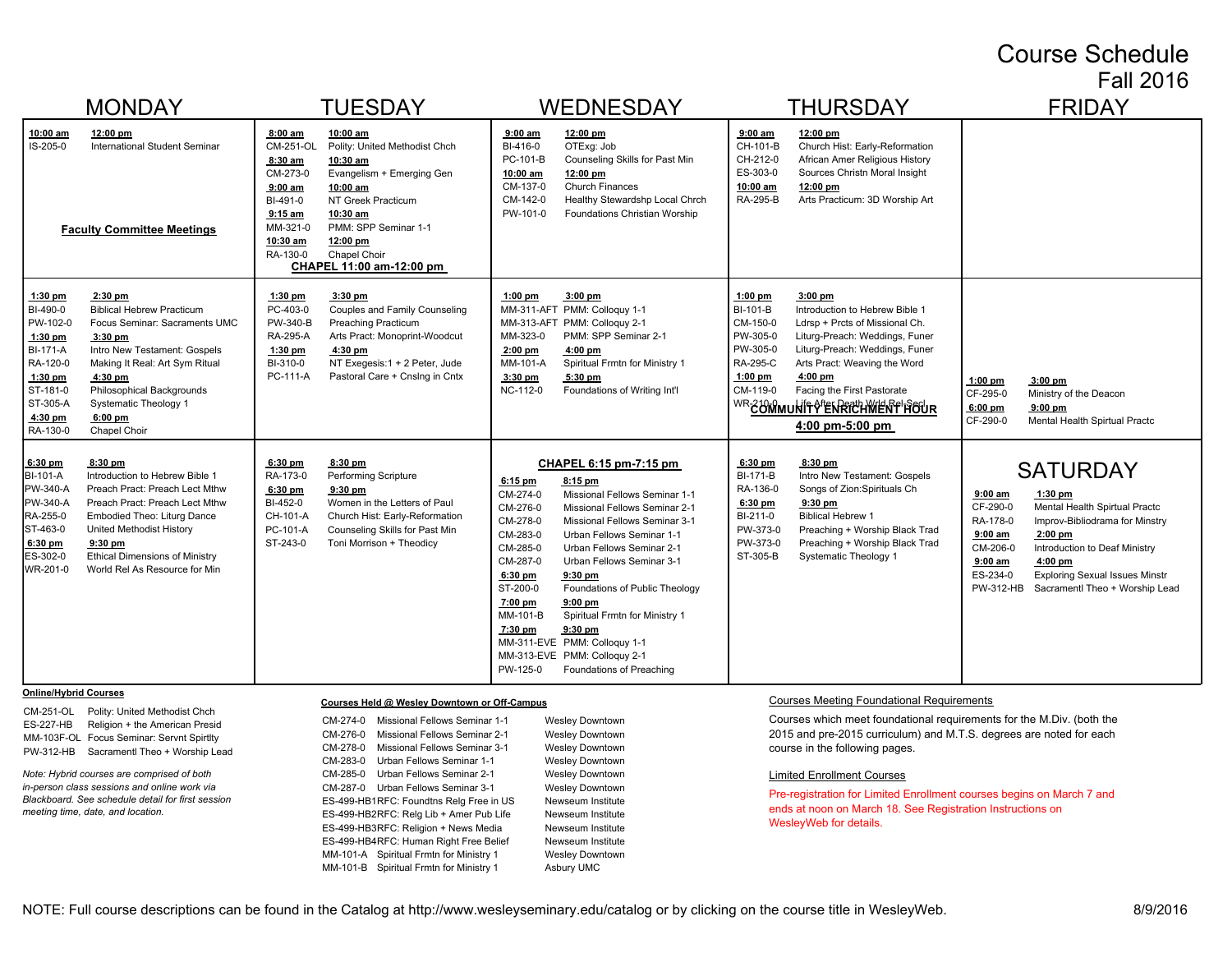#### Course Schedule Fall 2016

| <b>MONDAY</b>                                                                                                                                                                                                                                                                                                                                                                                                 | <b>TUESDAY</b>                                                                                                                                                                                                                                                                                                                                            | <b>WEDNESDAY</b>                                                                                                                                                                                                                                                                                                                                                                                                                                                                                                                                                                               | <b>THURSDAY</b>                                                                                                                                                                                                                                                                                                                                                                   | <b>FRIDAY</b>                                                                                                                                                                                                                                                                                                                           |
|---------------------------------------------------------------------------------------------------------------------------------------------------------------------------------------------------------------------------------------------------------------------------------------------------------------------------------------------------------------------------------------------------------------|-----------------------------------------------------------------------------------------------------------------------------------------------------------------------------------------------------------------------------------------------------------------------------------------------------------------------------------------------------------|------------------------------------------------------------------------------------------------------------------------------------------------------------------------------------------------------------------------------------------------------------------------------------------------------------------------------------------------------------------------------------------------------------------------------------------------------------------------------------------------------------------------------------------------------------------------------------------------|-----------------------------------------------------------------------------------------------------------------------------------------------------------------------------------------------------------------------------------------------------------------------------------------------------------------------------------------------------------------------------------|-----------------------------------------------------------------------------------------------------------------------------------------------------------------------------------------------------------------------------------------------------------------------------------------------------------------------------------------|
| 10:00 am<br>12:00 pm<br>IS-205-0<br>International Student Seminar<br><b>Faculty Committee Meetings</b>                                                                                                                                                                                                                                                                                                        | $8:00$ am<br>10:00 am<br>CM-251-OL<br>Polity: United Methodist Chch<br>8:30 am<br>10:30 am<br>CM-273-0<br>Evangelism + Emerging Gen<br>$9:00$ am<br>10:00 am<br>BI-491-0<br>NT Greek Practicum<br>$9:15$ am<br>10:30 am<br>MM-321-0<br>PMM: SPP Seminar 1-1<br>10:30 am<br>$12:00 \text{ pm}$<br>RA-130-0<br>Chapel Choir<br>CHAPEL 11:00 am-12:00 pm     | 12:00 pm<br>$9:00$ am<br>BI-416-0<br>OTExg: Job<br>Counseling Skills for Past Min<br>PC-101-B<br>12:00 pm<br>10:00 am<br>CM-137-0<br><b>Church Finances</b><br>CM-142-0<br>Healthy Stewardshp Local Chrch<br>PW-101-0<br>Foundations Christian Worship                                                                                                                                                                                                                                                                                                                                         | 12:00 pm<br>$9:00$ am<br>CH-101-B<br>Church Hist: Early-Reformation<br>African Amer Religious History<br>CH-212-0<br>ES-303-0<br>Sources Christn Moral Insight<br>10:00 am<br>12:00 pm<br>RA-295-B<br>Arts Practicum: 3D Worship Art                                                                                                                                              |                                                                                                                                                                                                                                                                                                                                         |
| 1:30 pm<br>$2:30$ pm<br>BI-490-0<br><b>Biblical Hebrew Practicum</b><br>PW-102-0<br>Focus Seminar: Sacraments UMC<br>$1:30$ pm<br>$3:30$ pm<br><b>BI-171-A</b><br>Intro New Testament: Gospels<br>RA-120-0<br>Making It Real: Art Sym Ritual<br>$1:30$ pm<br>4:30 pm<br>ST-181-0<br>Philosophical Backgrounds<br>ST-305-A<br><b>Systematic Theology 1</b><br>4:30 pm<br>$6:00$ pm<br>RA-130-0<br>Chapel Choir | $1:30$ pm<br>3:30 pm<br>PC-403-0<br>Couples and Family Counseling<br>PW-340-B<br><b>Preaching Practicum</b><br>RA-295-A<br>Arts Pract: Monoprint-Woodcut<br>$1:30$ pm<br>4:30 pm<br>NT Exegesis:1 + 2 Peter, Jude<br>BI-310-0<br>PC-111-A<br>Pastoral Care + Cnslng in Cntx                                                                               | 3:00 pm<br>$1:00$ pm<br>MM-311-AFT PMM: Colloquy 1-1<br>MM-313-AFT PMM: Colloquy 2-1<br>PMM: SPP Seminar 2-1<br>MM-323-0<br>$2:00$ pm<br>$4:00$ pm<br>MM-101-A<br>Spiritual Frmtn for Ministry 1<br>$3:30$ pm<br>5:30 pm<br>NC-112-0<br>Foundations of Writing Int'l                                                                                                                                                                                                                                                                                                                           | $1:00$ pm<br>$3:00$ pm<br>BI-101-B<br>Introduction to Hebrew Bible 1<br>CM-150-0<br>Ldrsp + Prcts of Missional Ch.<br>PW-305-0<br>Liturg-Preach: Weddings, Funer<br>PW-305-0<br>Liturg-Preach: Weddings, Funer<br>RA-295-C<br>Arts Pract: Weaving the Word<br>$1:00$ pm<br>$4:00$ pm<br>CM-119-0<br>Facing the First Pastorate<br>WR-COMMUNIFY ENRICHWENF FOUR<br>4:00 pm-5:00 pm | $1:00$ pm<br>$3:00$ pm<br>CF-295-0<br>Ministry of the Deacon<br>6:00 pm<br>$9:00$ pm<br>CF-290-0<br>Mental Health Spirtual Practc                                                                                                                                                                                                       |
| 8:30 pm<br>$6:30$ pm<br>BI-101-A<br>Introduction to Hebrew Bible 1<br>PW-340-A<br>Preach Pract: Preach Lect Mthw<br>PW-340-A<br>Preach Pract: Preach Lect Mthw<br>RA-255-0<br>Embodied Theo: Liturg Dance<br>ST-463-0<br>United Methodist History<br>6:30 pm<br>$9:30$ pm<br>ES-302-0<br><b>Ethical Dimensions of Ministry</b><br>World Rel As Resource for Min<br>WR-201-0                                   | $6:30$ pm<br>8:30 pm<br>RA-173-0<br>Performing Scripture<br>6:30 pm<br>$9:30$ pm<br>BI-452-0<br>Women in the Letters of Paul<br>CH-101-A<br>Church Hist: Early-Reformation<br>PC-101-A<br>Counseling Skills for Past Min<br>ST-243-0<br>Toni Morrison + Theodicy                                                                                          | CHAPEL 6:15 pm-7:15 pm<br>$8:15$ pm<br>$6:15$ pm<br>CM-274-0<br>Missional Fellows Seminar 1-1<br>CM-276-0<br>Missional Fellows Seminar 2-1<br>CM-278-0<br>Missional Fellows Seminar 3-1<br>CM-283-0<br>Urban Fellows Seminar 1-1<br>CM-285-0<br>Urban Fellows Seminar 2-1<br>CM-287-0<br>Urban Fellows Seminar 3-1<br>$6:30$ pm<br>9:30 pm<br>ST-200-0<br>Foundations of Public Theology<br>7:00 pm<br>$9:00$ pm<br>Spiritual Frmtn for Ministry 1<br>MM-101-B<br>7:30 pm<br>$9:30$ pm<br>MM-311-EVE PMM: Colloquy 1-1<br>MM-313-EVE PMM: Colloquy 2-1<br>PW-125-0<br>Foundations of Preaching | 6:30 pm<br>$8:30$ pm<br><b>BI-171-B</b><br>Intro New Testament: Gospels<br>RA-136-0<br>Songs of Zion: Spirituals Ch<br>6:30 pm<br>$9:30$ pm<br>BI-211-0<br><b>Biblical Hebrew 1</b><br>PW-373-0<br>Preaching + Worship Black Trad<br>PW-373-0<br>Preaching + Worship Black Trad<br>ST-305-B<br><b>Systematic Theology 1</b>                                                       | <b>SATURDAY</b><br>$9:00$ am<br>$1:30$ pm<br>CF-290-0<br>Mental Health Spirtual Practc<br>RA-178-0<br>Improv-Bibliodrama for Minstry<br>$9:00$ am<br>2:00 pm<br>CM-206-0<br>Introduction to Deaf Ministry<br>$9:00$ am<br>$4:00$ pm<br>ES-234-0<br><b>Exploring Sexual Issues Minstr</b><br>PW-312-HB<br>Sacramentl Theo + Worship Lead |
| <b>Online/Hybrid Courses</b><br>CM-251-OL<br>Polity: United Methodist Chch<br>Religion + the American Presid<br>ES-227-HB<br>MM-103F-OL Focus Seminar: Servnt Spirtlty<br>Sacramentl Theo + Worship Lead<br>PW-312-HB<br>Note: Hybrid courses are comprised of both<br>in-person class sessions and online work via<br>Blackboard. See schedule detail for first session                                      | Courses Held @ Wesley Downtown or Off-Campus<br>Missional Fellows Seminar 1-1<br>CM-274-0<br>CM-276-0<br>Missional Fellows Seminar 2-1<br>CM-278-0<br>Missional Fellows Seminar 3-1<br>CM-283-0<br>Urban Fellows Seminar 1-1<br>CM-285-0<br>Urban Fellows Seminar 2-1<br>CM-287-0<br>Urban Fellows Seminar 3-1<br>ES-499-HB1RFC: Foundtns Relg Free in US | <b>Wesley Downtown</b><br><b>Wesley Downtown</b><br><b>Wesley Downtown</b><br><b>Wesley Downtown</b><br><b>Wesley Downtown</b><br><b>Wesley Downtown</b><br>Newseum Institute                                                                                                                                                                                                                                                                                                                                                                                                                  | <b>Courses Meeting Foundational Requirements</b><br>Courses which meet foundational requirements for the M.Div. (both the<br>2015 and pre-2015 curriculum) and M.T.S. degrees are noted for each<br>course in the following pages.<br><b>Limited Enrollment Courses</b><br>Pre-registration for Limited Enrollment courses begins on March 7 and                                  |                                                                                                                                                                                                                                                                                                                                         |

ends at noon on March 18. See Registration Instructions on WesleyWeb for details.

ES-499-HB2RFC: Relg Lib + Amer Pub Life Newseum Institute ES-499-HB3RFC: Religion + News Media Newseum Institute ES-499-HB4RFC: Human Right Free Belief Newseum Institute MM-101-A Spiritual Frmtn for Ministry 1 Wesley Downtown MM-101-B Spiritual Frmtn for Ministry 1 Asbury UMC

*meeting time, date, and location.*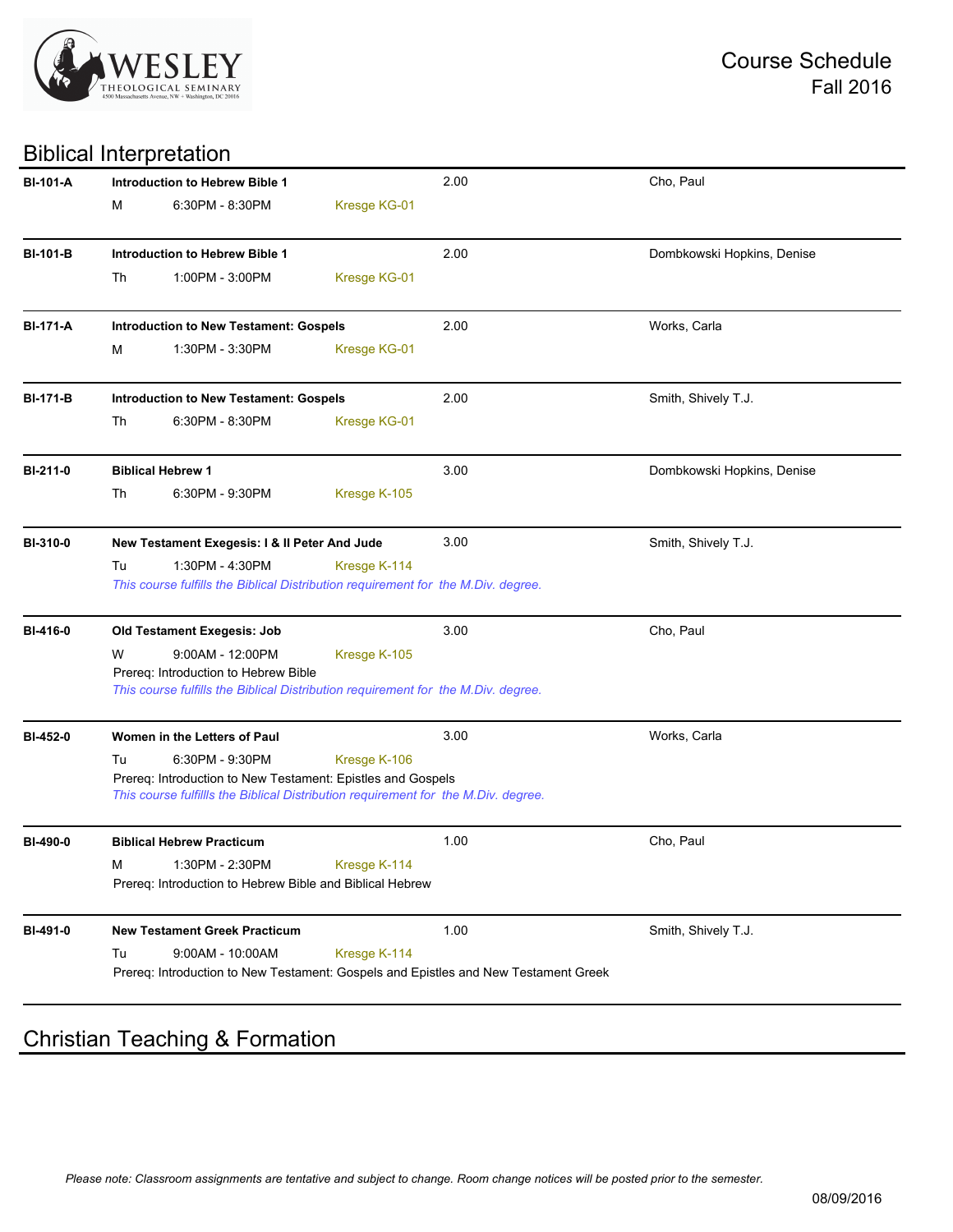

#### Biblical Interpretation

| <b>BI-101-A</b> |                 | <b>Introduction to Hebrew Bible 1</b>                                              |                     | 2.00                                                                                | Cho, Paul                  |
|-----------------|-----------------|------------------------------------------------------------------------------------|---------------------|-------------------------------------------------------------------------------------|----------------------------|
|                 | М               | 6:30PM - 8:30PM                                                                    | Kresge KG-01        |                                                                                     |                            |
| <b>BI-101-B</b> |                 | Introduction to Hebrew Bible 1                                                     |                     | 2.00                                                                                | Dombkowski Hopkins, Denise |
|                 | Th              | 1:00PM - 3:00PM                                                                    | Kresge KG-01        |                                                                                     |                            |
|                 |                 |                                                                                    |                     |                                                                                     |                            |
| <b>BI-171-A</b> |                 | <b>Introduction to New Testament: Gospels</b>                                      |                     | 2.00                                                                                | Works, Carla               |
|                 | м               | 1:30PM - 3:30PM                                                                    | Kresge KG-01        |                                                                                     |                            |
| <b>BI-171-B</b> |                 | <b>Introduction to New Testament: Gospels</b>                                      |                     | 2.00                                                                                | Smith, Shively T.J.        |
|                 | Th              | 6:30PM - 8:30PM                                                                    | Kresge KG-01        |                                                                                     |                            |
| BI-211-0        |                 | <b>Biblical Hebrew 1</b>                                                           |                     | 3.00                                                                                | Dombkowski Hopkins, Denise |
|                 | Th              | 6:30PM - 9:30PM                                                                    | Kresge K-105        |                                                                                     |                            |
| <b>BI-310-0</b> |                 | New Testament Exegesis: I & II Peter And Jude                                      |                     | 3.00                                                                                | Smith, Shively T.J.        |
|                 | Tu              | 1:30PM - 4:30PM                                                                    | Kresge K-114        |                                                                                     |                            |
|                 |                 | This course fulfills the Biblical Distribution requirement for the M.Div. degree.  |                     |                                                                                     |                            |
| BI-416-0        |                 | Old Testament Exegesis: Job                                                        |                     | 3.00                                                                                | Cho, Paul                  |
|                 | W               | $9:00AM - 12:00PM$                                                                 | Kresge K-105        |                                                                                     |                            |
|                 |                 | Prereq: Introduction to Hebrew Bible                                               |                     |                                                                                     |                            |
|                 |                 | This course fulfills the Biblical Distribution requirement for the M.Div. degree.  |                     |                                                                                     |                            |
| BI-452-0        |                 | Women in the Letters of Paul                                                       |                     | 3.00                                                                                | Works, Carla               |
|                 | Tu              | 6:30PM - 9:30PM                                                                    | Kresge K-106        |                                                                                     |                            |
|                 |                 | Prereq: Introduction to New Testament: Epistles and Gospels                        |                     |                                                                                     |                            |
|                 |                 | This course fulfillls the Biblical Distribution requirement for the M.Div. degree. |                     |                                                                                     |                            |
| BI-490-0        |                 | <b>Biblical Hebrew Practicum</b>                                                   |                     | 1.00                                                                                | Cho, Paul                  |
|                 | M <sub>ar</sub> | 1:30PM - 2:30PM                                                                    | <b>Kresge K-114</b> |                                                                                     |                            |
|                 |                 | Prereq: Introduction to Hebrew Bible and Biblical Hebrew                           |                     |                                                                                     |                            |
| BI-491-0        |                 | <b>New Testament Greek Practicum</b>                                               |                     | 1.00                                                                                | Smith, Shively T.J.        |
|                 | Tu              | $9:00AM - 10:00AM$                                                                 | Kresge K-114        |                                                                                     |                            |
|                 |                 |                                                                                    |                     | Prereq: Introduction to New Testament: Gospels and Epistles and New Testament Greek |                            |
|                 |                 |                                                                                    |                     |                                                                                     |                            |

# Christian Teaching & Formation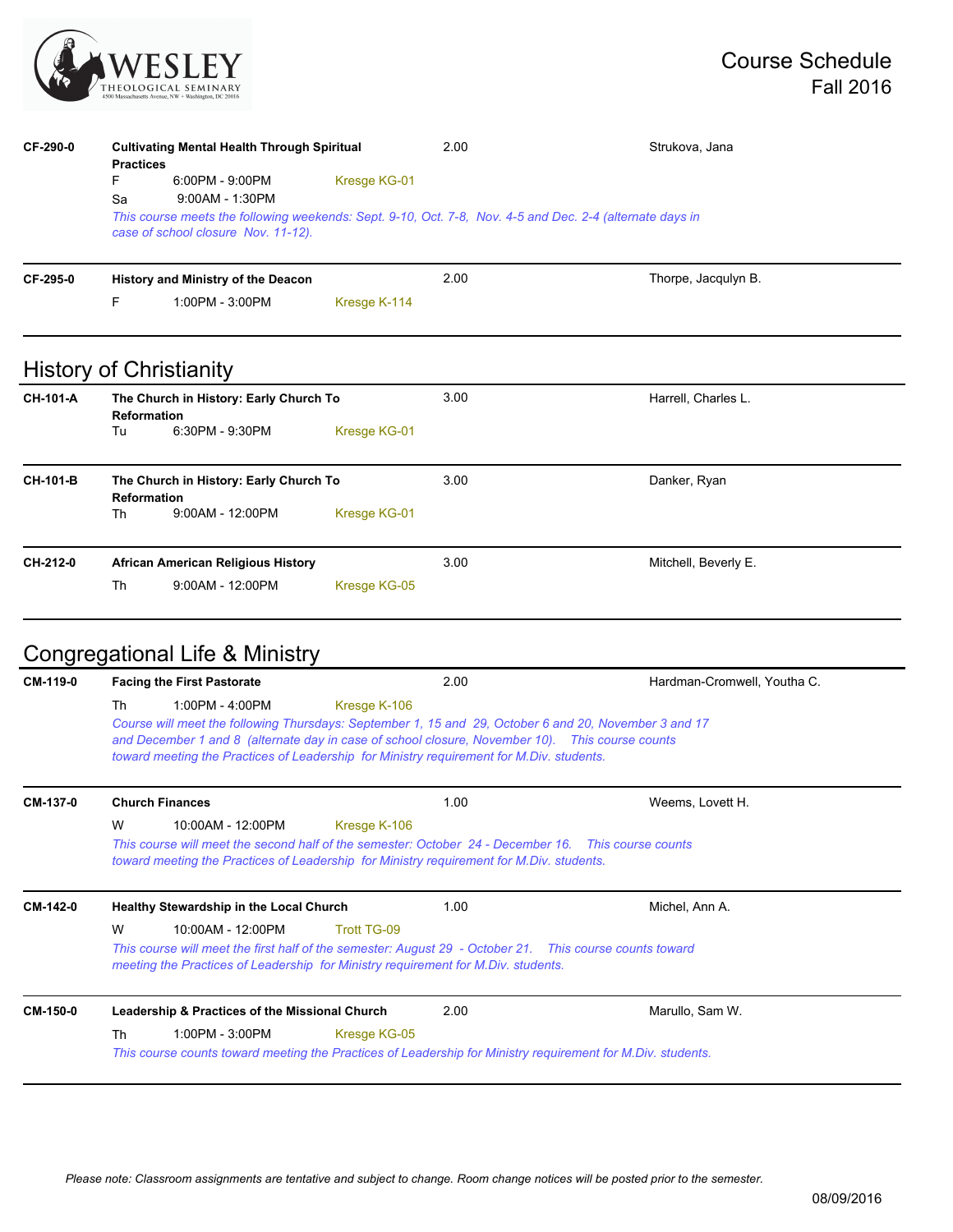

| CF-290-0        | <b>Practices</b><br>F.<br>Sa | <b>Cultivating Mental Health Through Spiritual</b><br>6:00PM - 9:00PM<br>9:00AM - 1:30PM<br>case of school closure Nov. 11-12). | Kresge KG-01 | 2.00 | Strukova, Jana<br>This course meets the following weekends: Sept. 9-10, Oct. 7-8, Nov. 4-5 and Dec. 2-4 (alternate days in |
|-----------------|------------------------------|---------------------------------------------------------------------------------------------------------------------------------|--------------|------|----------------------------------------------------------------------------------------------------------------------------|
| CF-295-0        |                              | History and Ministry of the Deacon                                                                                              |              | 2.00 | Thorpe, Jacqulyn B.                                                                                                        |
|                 | F.                           | 1:00PM - 3:00PM                                                                                                                 | Kresge K-114 |      |                                                                                                                            |
|                 |                              | <b>History of Christianity</b>                                                                                                  |              |      |                                                                                                                            |
| CH-101-A        | <b>Reformation</b><br>Tu     | The Church in History: Early Church To<br>6:30PM - 9:30PM                                                                       | Kresge KG-01 | 3.00 | Harrell, Charles L.                                                                                                        |
| <b>CH-101-B</b> | <b>Reformation</b><br>Th     | The Church in History: Early Church To<br>$9:00AM - 12:00PM$                                                                    | Kresge KG-01 | 3.00 | Danker, Ryan                                                                                                               |
| CH-212-0        |                              | <b>African American Religious History</b>                                                                                       |              | 3.00 | Mitchell, Beverly E.                                                                                                       |
|                 | Th                           | 9:00AM - 12:00PM                                                                                                                | Kresge KG-05 |      |                                                                                                                            |

# Congregational Life & Ministry

| CM-119-0 | <b>Facing the First Pastorate</b>                                                                                                                                                                                      | 2.00                                                                                                                                                                                                                                                                                                                 | Hardman-Cromwell, Youtha C. |
|----------|------------------------------------------------------------------------------------------------------------------------------------------------------------------------------------------------------------------------|----------------------------------------------------------------------------------------------------------------------------------------------------------------------------------------------------------------------------------------------------------------------------------------------------------------------|-----------------------------|
|          | 1:00PM - 4:00PM<br>Th                                                                                                                                                                                                  | Kresge K-106<br>Course will meet the following Thursdays: September 1, 15 and 29, October 6 and 20, November 3 and 17<br>and December 1 and 8 (alternate day in case of school closure, November 10). This course counts<br>toward meeting the Practices of Leadership for Ministry requirement for M.Div. students. |                             |
| CM-137-0 | <b>Church Finances</b>                                                                                                                                                                                                 | 1.00                                                                                                                                                                                                                                                                                                                 | Weems, Lovett H.            |
|          | W<br>10:00AM - 12:00PM                                                                                                                                                                                                 | Kresge K-106<br>This course will meet the second half of the semester: October 24 - December 16. This course counts<br>toward meeting the Practices of Leadership for Ministry requirement for M.Div. students.                                                                                                      |                             |
| CM-142-0 | <b>Healthy Stewardship in the Local Church</b>                                                                                                                                                                         | 1.00                                                                                                                                                                                                                                                                                                                 | Michel, Ann A.              |
|          | W<br>10:00AM - 12:00PM<br>This course will meet the first half of the semester: August 29 - October 21. This course counts toward<br>meeting the Practices of Leadership for Ministry requirement for M.Div. students. |                                                                                                                                                                                                                                                                                                                      |                             |
| CM-150-0 | Leadership & Practices of the Missional Church                                                                                                                                                                         | 2.00                                                                                                                                                                                                                                                                                                                 | Marullo, Sam W.             |
|          | Th<br>1:00PM - 3:00PM                                                                                                                                                                                                  | Kresge KG-05<br>This course counts toward meeting the Practices of Leadership for Ministry requirement for M.Div. students.                                                                                                                                                                                          |                             |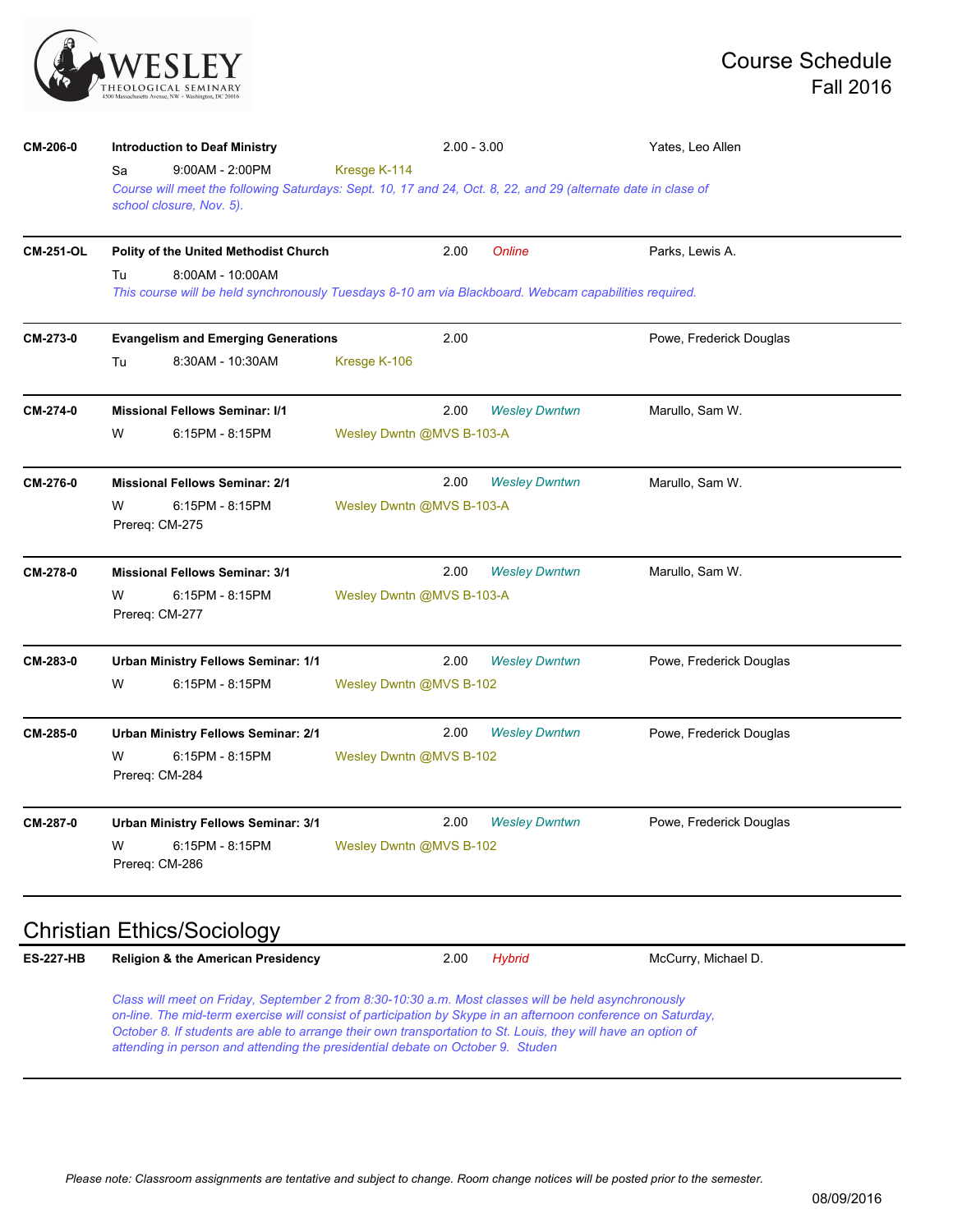

| CM-206-0         | <b>Introduction to Deaf Ministry</b>                                                                                                      |                           | $2.00 - 3.00$             | Yates, Leo Allen        |  |  |  |
|------------------|-------------------------------------------------------------------------------------------------------------------------------------------|---------------------------|---------------------------|-------------------------|--|--|--|
|                  | $9:00AM - 2:00PM$<br>Sa                                                                                                                   | Kresge K-114              |                           |                         |  |  |  |
|                  | Course will meet the following Saturdays: Sept. 10, 17 and 24, Oct. 8, 22, and 29 (alternate date in clase of<br>school closure, Nov. 5). |                           |                           |                         |  |  |  |
|                  |                                                                                                                                           |                           |                           |                         |  |  |  |
| <b>CM-251-OL</b> | Polity of the United Methodist Church                                                                                                     | 2.00                      | Online                    | Parks, Lewis A.         |  |  |  |
|                  | Tu<br>8:00AM - 10:00AM<br>This course will be held synchronously Tuesdays 8-10 am via Blackboard. Webcam capabilities required.           |                           |                           |                         |  |  |  |
| CM-273-0         | <b>Evangelism and Emerging Generations</b>                                                                                                | 2.00                      |                           | Powe, Frederick Douglas |  |  |  |
|                  | 8:30AM - 10:30AM<br>Tu                                                                                                                    | Kresge K-106              |                           |                         |  |  |  |
| CM-274-0         | <b>Missional Fellows Seminar: I/1</b>                                                                                                     | 2.00                      | <b>Wesley Dwntwn</b>      | Marullo, Sam W.         |  |  |  |
|                  | W<br>6:15PM - 8:15PM                                                                                                                      |                           | Wesley Dwntn @MVS B-103-A |                         |  |  |  |
| CM-276-0         | <b>Missional Fellows Seminar: 2/1</b>                                                                                                     | 2.00                      | <b>Wesley Dwntwn</b>      | Marullo, Sam W.         |  |  |  |
|                  | 6:15PM - 8:15PM<br>W<br>Prereq: CM-275                                                                                                    | Wesley Dwntn @MVS B-103-A |                           |                         |  |  |  |
| CM-278-0         | <b>Missional Fellows Seminar: 3/1</b>                                                                                                     | 2.00                      | <b>Wesley Dwntwn</b>      | Marullo, Sam W.         |  |  |  |
|                  | W<br>6:15PM - 8:15PM<br>Prereq: CM-277                                                                                                    | Wesley Dwntn @MVS B-103-A |                           |                         |  |  |  |
| CM-283-0         | <b>Urban Ministry Fellows Seminar: 1/1</b>                                                                                                | 2.00                      | <b>Wesley Dwntwn</b>      | Powe, Frederick Douglas |  |  |  |
|                  | W<br>6:15PM - 8:15PM                                                                                                                      | Wesley Dwntn @MVS B-102   |                           |                         |  |  |  |
| CM-285-0         | Urban Ministry Fellows Seminar: 2/1                                                                                                       | 2.00                      | <b>Wesley Dwntwn</b>      | Powe, Frederick Douglas |  |  |  |
|                  | 6:15PM - 8:15PM<br>w<br>Prereq: CM-284                                                                                                    | Wesley Dwntn @MVS B-102   |                           |                         |  |  |  |
| CM-287-0         | <b>Urban Ministry Fellows Seminar: 3/1</b>                                                                                                | 2.00                      | <b>Wesley Dwntwn</b>      | Powe, Frederick Douglas |  |  |  |
|                  | W<br>6:15PM - 8:15PM<br>Prereg: CM-286                                                                                                    | Wesley Dwntn @MVS B-102   |                           |                         |  |  |  |

# Christian Ethics/Sociology

| <b>ES-227-HB</b> | <b>Religion &amp; the American Presidency</b> | 2.00 Hybrid | McCurry, Michael D. |
|------------------|-----------------------------------------------|-------------|---------------------|
|                  |                                               |             |                     |

*Class will meet on Friday, September 2 from 8:30-10:30 a.m. Most classes will be held asynchronously on-line. The mid-term exercise will consist of participation by Skype in an afternoon conference on Saturday, October 8. If students are able to arrange their own transportation to St. Louis, they will have an option of attending in person and attending the presidential debate on October 9. Studen*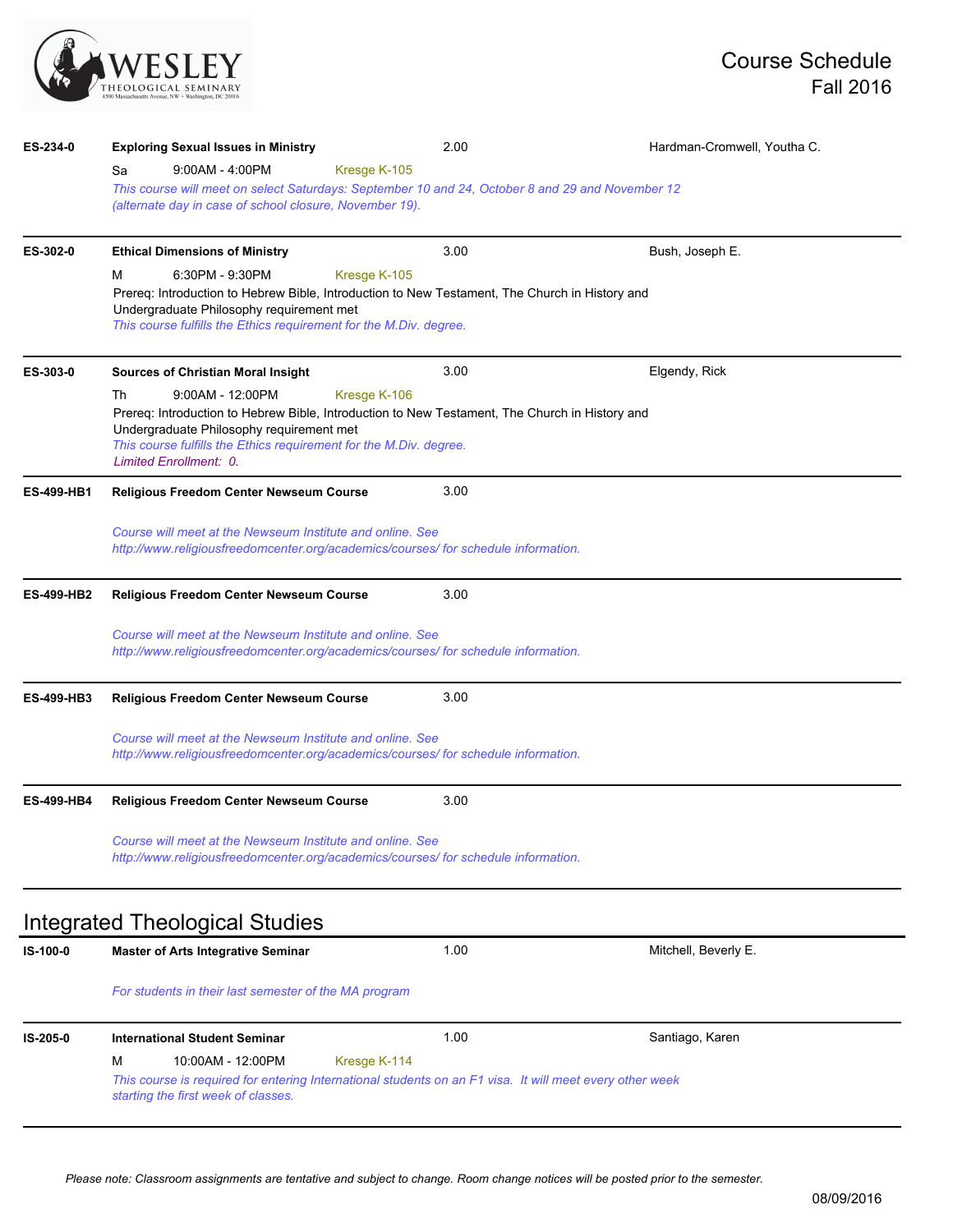

| ES-234-0          | <b>Exploring Sexual Issues in Ministry</b>                                                                                                      | 2.00         | Hardman-Cromwell, Youtha C. |  |  |  |  |
|-------------------|-------------------------------------------------------------------------------------------------------------------------------------------------|--------------|-----------------------------|--|--|--|--|
|                   | $9:00AM - 4:00PM$<br>Sa                                                                                                                         | Kresge K-105 |                             |  |  |  |  |
|                   | This course will meet on select Saturdays: September 10 and 24, October 8 and 29 and November 12                                                |              |                             |  |  |  |  |
|                   | (alternate day in case of school closure, November 19).                                                                                         |              |                             |  |  |  |  |
| ES-302-0          | <b>Ethical Dimensions of Ministry</b>                                                                                                           | 3.00         | Bush, Joseph E.             |  |  |  |  |
|                   | 6:30PM - 9:30PM<br>м                                                                                                                            | Kresge K-105 |                             |  |  |  |  |
|                   | Prereq: Introduction to Hebrew Bible, Introduction to New Testament, The Church in History and                                                  |              |                             |  |  |  |  |
|                   | Undergraduate Philosophy requirement met<br>This course fulfills the Ethics requirement for the M.Div. degree.                                  |              |                             |  |  |  |  |
|                   |                                                                                                                                                 |              |                             |  |  |  |  |
| ES-303-0          | <b>Sources of Christian Moral Insight</b>                                                                                                       | 3.00         | Elgendy, Rick               |  |  |  |  |
|                   | $9:00AM - 12:00PM$<br>Th                                                                                                                        | Kresge K-106 |                             |  |  |  |  |
|                   | Prereq: Introduction to Hebrew Bible, Introduction to New Testament, The Church in History and                                                  |              |                             |  |  |  |  |
|                   | Undergraduate Philosophy requirement met<br>This course fulfills the Ethics requirement for the M.Div. degree.                                  |              |                             |  |  |  |  |
|                   | Limited Enrollment: 0.                                                                                                                          |              |                             |  |  |  |  |
| <b>ES-499-HB1</b> | <b>Religious Freedom Center Newseum Course</b>                                                                                                  | 3.00         |                             |  |  |  |  |
|                   | Course will meet at the Newseum Institute and online. See                                                                                       |              |                             |  |  |  |  |
|                   | http://www.religiousfreedomcenter.org/academics/courses/ for schedule information.                                                              |              |                             |  |  |  |  |
|                   |                                                                                                                                                 |              |                             |  |  |  |  |
| <b>ES-499-HB2</b> | <b>Religious Freedom Center Newseum Course</b>                                                                                                  | 3.00         |                             |  |  |  |  |
|                   | Course will meet at the Newseum Institute and online. See                                                                                       |              |                             |  |  |  |  |
|                   | http://www.religiousfreedomcenter.org/academics/courses/ for schedule information.                                                              |              |                             |  |  |  |  |
|                   |                                                                                                                                                 | 3.00         |                             |  |  |  |  |
| <b>ES-499-HB3</b> | <b>Religious Freedom Center Newseum Course</b>                                                                                                  |              |                             |  |  |  |  |
|                   | Course will meet at the Newseum Institute and online. See                                                                                       |              |                             |  |  |  |  |
|                   | http://www.religiousfreedomcenter.org/academics/courses/ for schedule information.                                                              |              |                             |  |  |  |  |
| <b>ES-499-HB4</b> | <b>Religious Freedom Center Newseum Course</b>                                                                                                  | 3.00         |                             |  |  |  |  |
|                   |                                                                                                                                                 |              |                             |  |  |  |  |
|                   | Course will meet at the Newseum Institute and online. See<br>http://www.religiousfreedomcenter.org/academics/courses/ for schedule information. |              |                             |  |  |  |  |
|                   |                                                                                                                                                 |              |                             |  |  |  |  |
|                   |                                                                                                                                                 |              |                             |  |  |  |  |
|                   | Integrated Theological Studies                                                                                                                  |              |                             |  |  |  |  |
| IS-100-0          | <b>Master of Arts Integrative Seminar</b>                                                                                                       | 1.00         | Mitchell, Beverly E.        |  |  |  |  |
|                   | For students in their last semester of the MA program                                                                                           |              |                             |  |  |  |  |
|                   |                                                                                                                                                 |              |                             |  |  |  |  |
|                   |                                                                                                                                                 |              |                             |  |  |  |  |

**IS-205-0 International Student Seminar** 1.00 Santiago, Karen M 10:00AM - 12:00PM Kresge K-114 *This course is required for entering International students on an F1 visa. It will meet every other week starting the first week of classes.*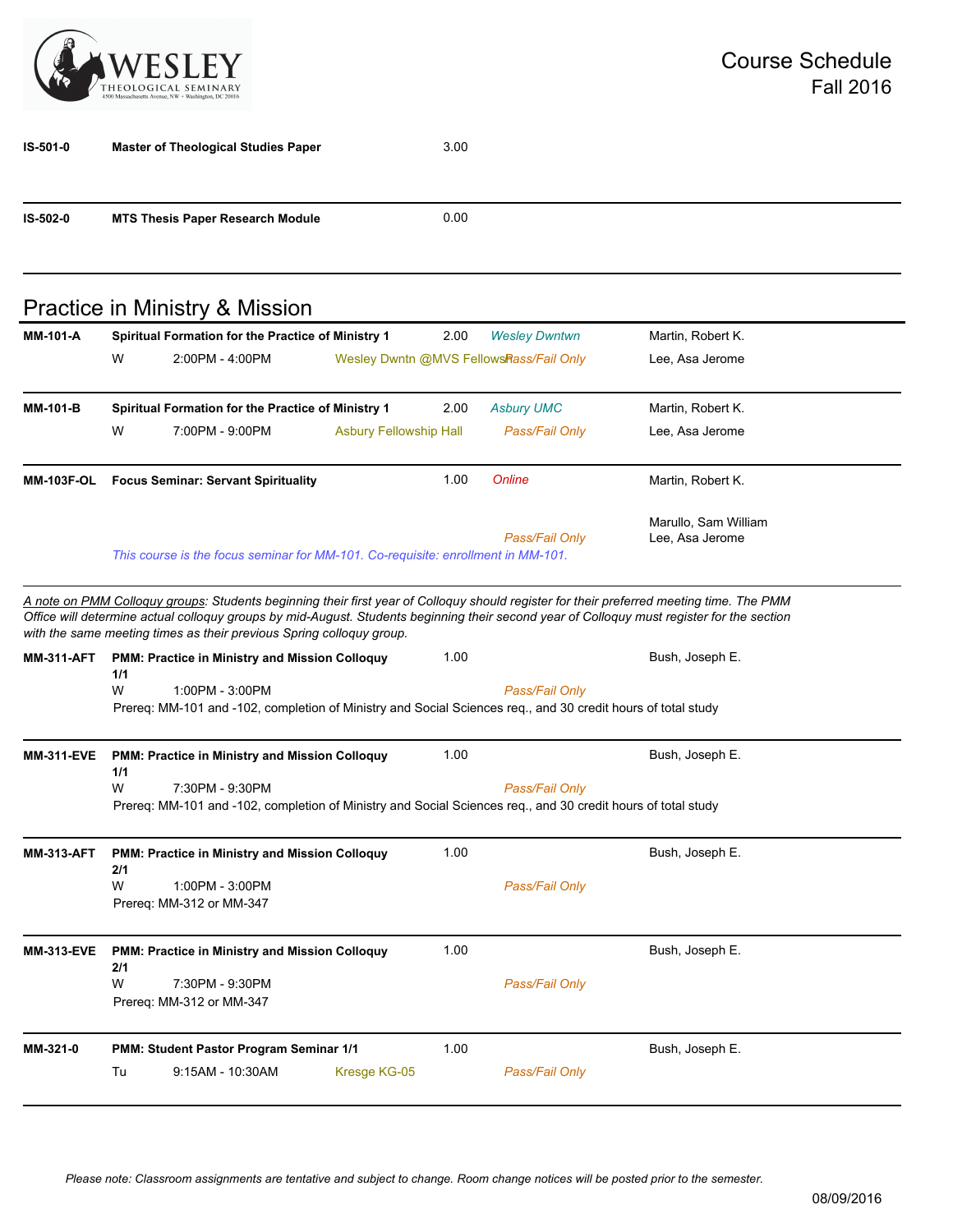

| IS-501-0          | <b>Master of Theological Studies Paper</b>                                                                                                                                                                                                                                                                                                                     |                               | 3.00 |                                         |                                         |
|-------------------|----------------------------------------------------------------------------------------------------------------------------------------------------------------------------------------------------------------------------------------------------------------------------------------------------------------------------------------------------------------|-------------------------------|------|-----------------------------------------|-----------------------------------------|
| IS-502-0          | <b>MTS Thesis Paper Research Module</b>                                                                                                                                                                                                                                                                                                                        |                               | 0.00 |                                         |                                         |
|                   | Practice in Ministry & Mission                                                                                                                                                                                                                                                                                                                                 |                               |      |                                         |                                         |
| <b>MM-101-A</b>   | Spiritual Formation for the Practice of Ministry 1                                                                                                                                                                                                                                                                                                             |                               | 2.00 | <b>Wesley Dwntwn</b>                    | Martin, Robert K.                       |
|                   | W<br>2:00PM - 4:00PM                                                                                                                                                                                                                                                                                                                                           |                               |      | Wesley Dwntn @MVS FellowsRass/Fail Only | Lee, Asa Jerome                         |
| <b>MM-101-B</b>   | Spiritual Formation for the Practice of Ministry 1                                                                                                                                                                                                                                                                                                             |                               | 2.00 | <b>Asbury UMC</b>                       | Martin, Robert K.                       |
|                   | W<br>7:00PM - 9:00PM                                                                                                                                                                                                                                                                                                                                           | <b>Asbury Fellowship Hall</b> |      | Pass/Fail Only                          | Lee, Asa Jerome                         |
| <b>MM-103F-OL</b> | <b>Focus Seminar: Servant Spirituality</b>                                                                                                                                                                                                                                                                                                                     |                               | 1.00 | Online                                  | Martin, Robert K.                       |
|                   | This course is the focus seminar for MM-101. Co-requisite: enrollment in MM-101.                                                                                                                                                                                                                                                                               |                               |      | Pass/Fail Only                          | Marullo, Sam William<br>Lee, Asa Jerome |
|                   | A note on PMM Colloguy groups: Students beginning their first year of Colloguy should register for their preferred meeting time. The PMM<br>Office will determine actual colloquy groups by mid-August. Students beginning their second year of Colloquy must register for the section<br>with the same meeting times as their previous Spring colloquy group. |                               |      |                                         |                                         |
| <b>MM-311-AFT</b> | PMM: Practice in Ministry and Mission Colloquy<br>1/1<br>W<br>1:00PM - 3:00PM<br>Prereq: MM-101 and -102, completion of Ministry and Social Sciences req., and 30 credit hours of total study                                                                                                                                                                  |                               | 1.00 | Pass/Fail Only                          | Bush, Joseph E.                         |
| <b>MM-311-EVE</b> | PMM: Practice in Ministry and Mission Colloquy                                                                                                                                                                                                                                                                                                                 |                               | 1.00 |                                         | Bush, Joseph E.                         |
|                   | 1/1<br>W<br>7:30PM - 9:30PM<br>Prereq: MM-101 and -102, completion of Ministry and Social Sciences req., and 30 credit hours of total study                                                                                                                                                                                                                    |                               |      | Pass/Fail Only                          |                                         |
| <b>MM-313-AFT</b> | PMM: Practice in Ministry and Mission Colloquy<br>2/1<br>W<br>1:00PM - 3:00PM<br>Prereq: MM-312 or MM-347                                                                                                                                                                                                                                                      |                               | 1.00 | Pass/Fail Only                          | Bush, Joseph E.                         |
| <b>MM-313-EVE</b> | PMM: Practice in Ministry and Mission Colloquy<br>2/1<br>W<br>7:30PM - 9:30PM<br>Prereq: MM-312 or MM-347                                                                                                                                                                                                                                                      |                               | 1.00 | Pass/Fail Only                          | Bush, Joseph E.                         |
| MM-321-0          | PMM: Student Pastor Program Seminar 1/1<br>9:15AM - 10:30AM                                                                                                                                                                                                                                                                                                    | Kresge KG-05                  | 1.00 | Pass/Fail Only                          | Bush, Joseph E.                         |
|                   | Tu                                                                                                                                                                                                                                                                                                                                                             |                               |      |                                         |                                         |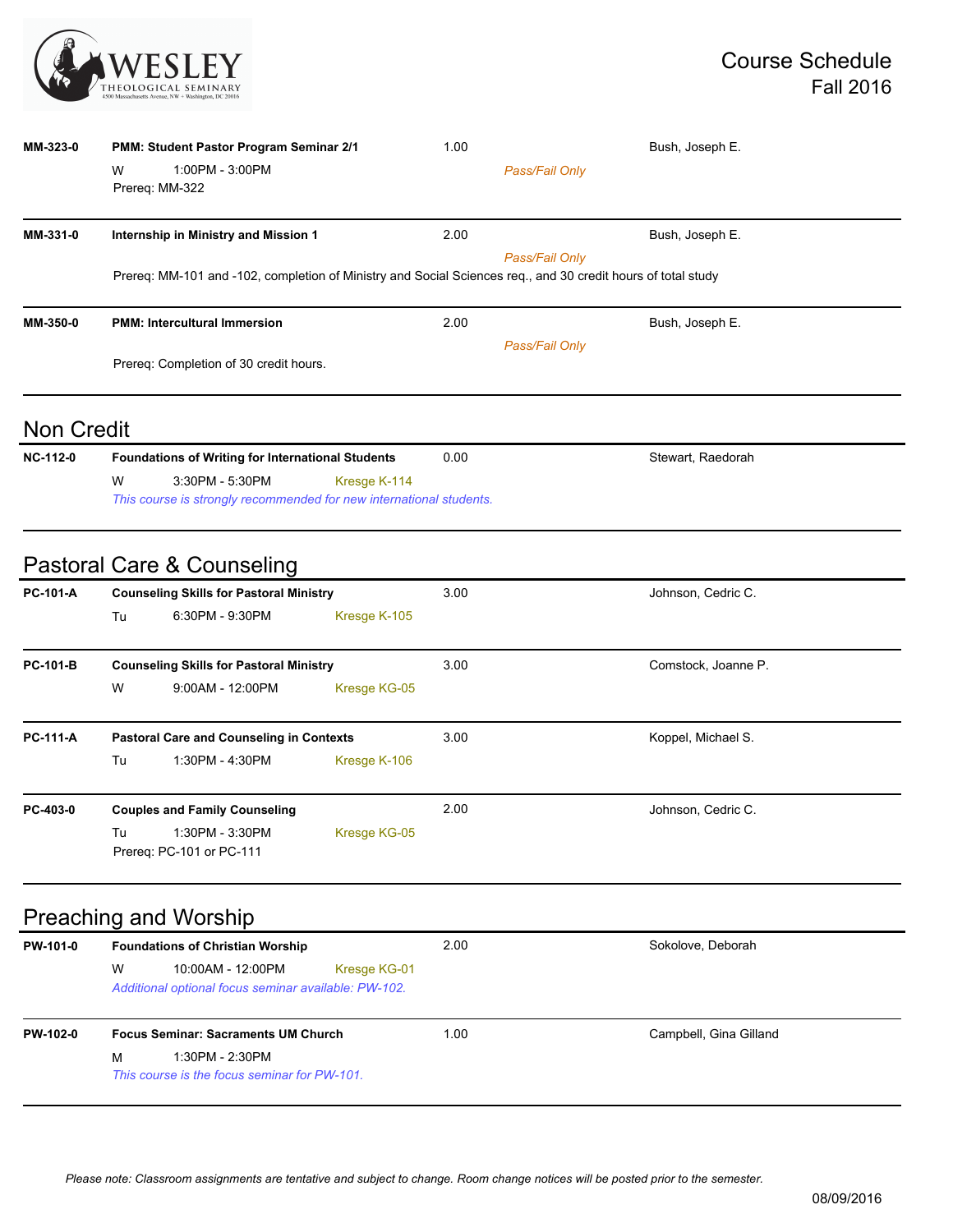

| MM-323-0 | <b>PMM: Student Pastor Program Seminar 2/1</b>                                                               | 1.00           | Bush, Joseph E. |  |  |  |
|----------|--------------------------------------------------------------------------------------------------------------|----------------|-----------------|--|--|--|
|          | W<br>1:00PM - 3:00PM<br>Prereq: MM-322                                                                       | Pass/Fail Only |                 |  |  |  |
| MM-331-0 | Internship in Ministry and Mission 1                                                                         | 2.00           | Bush, Joseph E. |  |  |  |
|          | Prereq: MM-101 and -102, completion of Ministry and Social Sciences req., and 30 credit hours of total study | Pass/Fail Only |                 |  |  |  |
| MM-350-0 | <b>PMM: Intercultural Immersion</b>                                                                          | 2.00           | Bush, Joseph E. |  |  |  |
|          | Pass/Fail Only                                                                                               |                |                 |  |  |  |
|          | Prereg: Completion of 30 credit hours.                                                                       |                |                 |  |  |  |
|          |                                                                                                              |                |                 |  |  |  |

#### Non Credit

| <b>NC-112-0</b> | <b>Foundations of Writing for International Students</b>            |                 |              | 0.00 | Stewart, Raedorah |
|-----------------|---------------------------------------------------------------------|-----------------|--------------|------|-------------------|
|                 | W                                                                   | 3:30PM - 5:30PM | Kresge K-114 |      |                   |
|                 | This course is strongly recommended for new international students. |                 |              |      |                   |

#### Pastoral Care & Counseling

| <b>Counseling Skills for Pastoral Ministry</b>                     |                    |                          | 3.00                | Johnson, Cedric C. |
|--------------------------------------------------------------------|--------------------|--------------------------|---------------------|--------------------|
| Tu                                                                 | 6:30PM - 9:30PM    | Kresge K-105             |                     |                    |
| <b>PC-101-B</b><br><b>Counseling Skills for Pastoral Ministry</b>  |                    | 3.00                     | Comstock, Joanne P. |                    |
| W                                                                  | $9:00AM - 12:00PM$ | Kresge KG-05             |                     |                    |
| <b>PC-111-A</b><br><b>Pastoral Care and Counseling in Contexts</b> |                    |                          | 3.00                | Koppel, Michael S. |
| Tu                                                                 | 1:30PM - 4:30PM    | Kresge K-106             |                     |                    |
| <b>Couples and Family Counseling</b>                               |                    | 2.00                     | Johnson, Cedric C.  |                    |
| Tu                                                                 | 1:30PM - 3:30PM    | Kresge KG-05             |                     |                    |
|                                                                    |                    | Prereg: PC-101 or PC-111 |                     |                    |

# Preaching and Worship

| PW-101-0        | <b>Foundations of Christian Worship</b>                                        | 2.00         | Sokolove, Deborah      |  |
|-----------------|--------------------------------------------------------------------------------|--------------|------------------------|--|
|                 | W<br>10:00AM - 12:00PM<br>Additional optional focus seminar available: PW-102. | Kresge KG-01 |                        |  |
| <b>PW-102-0</b> | <b>Focus Seminar: Sacraments UM Church</b>                                     | 1.00         | Campbell, Gina Gilland |  |
|                 | м<br>1:30PM - 2:30PM<br>This course is the focus seminar for PW-101.           |              |                        |  |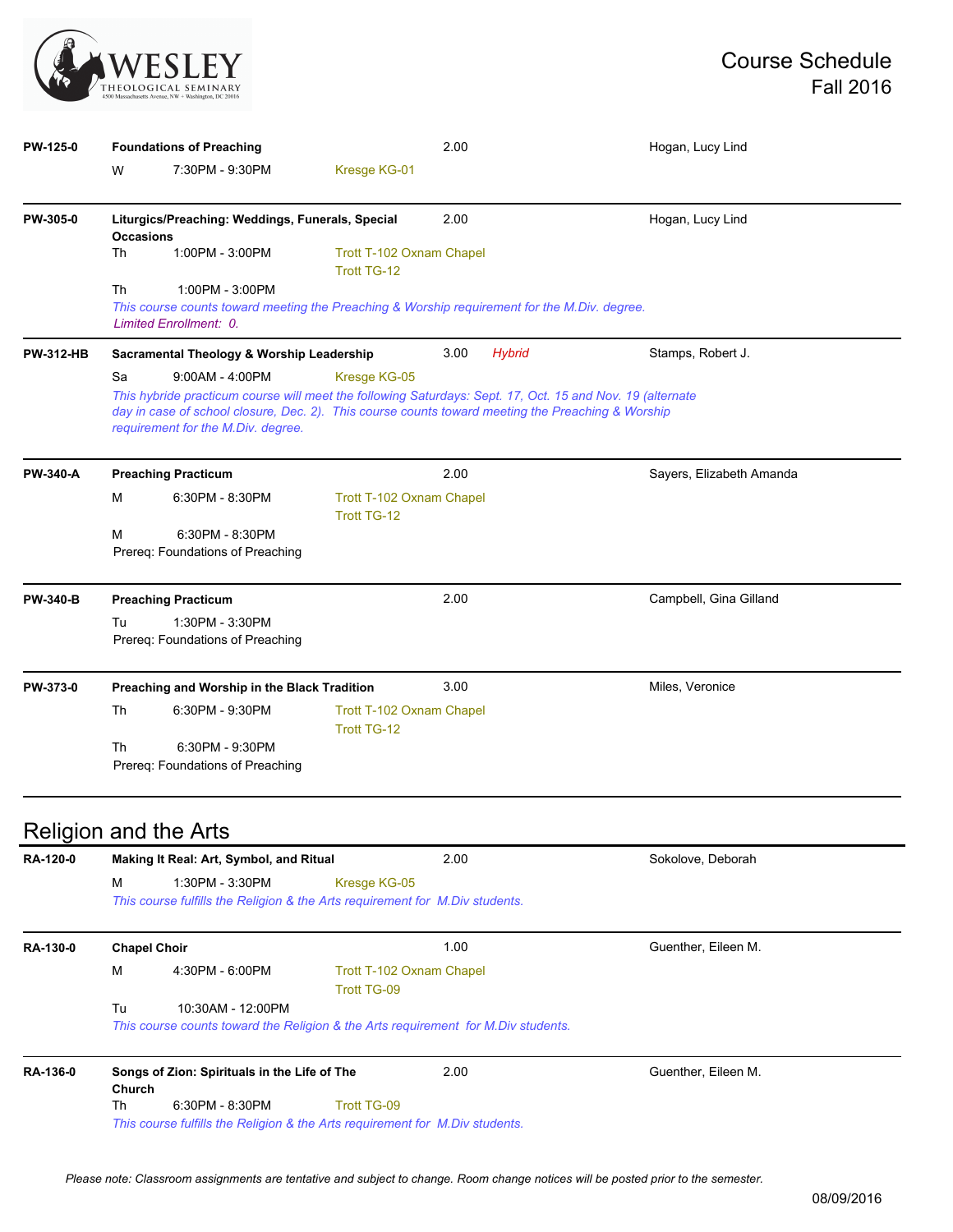

| PW-125-0         | <b>Foundations of Preaching</b>                                                                                                                                                                                                                                                                 |                                                     |                                                | 2.00          |                   | Hogan, Lucy Lind         |  |
|------------------|-------------------------------------------------------------------------------------------------------------------------------------------------------------------------------------------------------------------------------------------------------------------------------------------------|-----------------------------------------------------|------------------------------------------------|---------------|-------------------|--------------------------|--|
|                  | W                                                                                                                                                                                                                                                                                               | 7:30PM - 9:30PM                                     | Kresge KG-01                                   |               |                   |                          |  |
| PW-305-0         | Liturgics/Preaching: Weddings, Funerals, Special<br><b>Occasions</b>                                                                                                                                                                                                                            |                                                     |                                                | 2.00          |                   | Hogan, Lucy Lind         |  |
|                  | Th                                                                                                                                                                                                                                                                                              | 1:00PM - 3:00PM                                     | Trott T-102 Oxnam Chapel<br>Trott TG-12        |               |                   |                          |  |
|                  | Th<br>1:00PM - 3:00PM<br>This course counts toward meeting the Preaching & Worship requirement for the M.Div. degree.<br>Limited Enrollment: 0.                                                                                                                                                 |                                                     |                                                |               |                   |                          |  |
| <b>PW-312-HB</b> | Sacramental Theology & Worship Leadership                                                                                                                                                                                                                                                       |                                                     | 3.00                                           | <b>Hybrid</b> | Stamps, Robert J. |                          |  |
|                  | Sa<br>$9:00AM - 4:00PM$<br>Kresge KG-05<br>This hybride practicum course will meet the following Saturdays: Sept. 17, Oct. 15 and Nov. 19 (alternate<br>day in case of school closure, Dec. 2). This course counts toward meeting the Preaching & Worship<br>requirement for the M.Div. degree. |                                                     |                                                |               |                   |                          |  |
| <b>PW-340-A</b>  | <b>Preaching Practicum</b>                                                                                                                                                                                                                                                                      |                                                     |                                                | 2.00          |                   | Sayers, Elizabeth Amanda |  |
|                  |                                                                                                                                                                                                                                                                                                 |                                                     |                                                |               |                   |                          |  |
|                  | м                                                                                                                                                                                                                                                                                               | 6:30PM - 8:30PM                                     | Trott T-102 Oxnam Chapel<br>Trott TG-12        |               |                   |                          |  |
|                  | M                                                                                                                                                                                                                                                                                               | 6:30PM - 8:30PM<br>Prereg: Foundations of Preaching |                                                |               |                   |                          |  |
| <b>PW-340-B</b>  |                                                                                                                                                                                                                                                                                                 | <b>Preaching Practicum</b>                          |                                                | 2.00          |                   | Campbell, Gina Gilland   |  |
|                  | Tu                                                                                                                                                                                                                                                                                              | 1:30PM - 3:30PM<br>Prereq: Foundations of Preaching |                                                |               |                   |                          |  |
|                  |                                                                                                                                                                                                                                                                                                 | Preaching and Worship in the Black Tradition        |                                                | 3.00          |                   | Miles, Veronice          |  |
| PW-373-0         | Th                                                                                                                                                                                                                                                                                              | 6:30PM - 9:30PM                                     | Trott T-102 Oxnam Chapel<br><b>Trott TG-12</b> |               |                   |                          |  |

| RA-120-0 | Making It Real: Art, Symbol, and Ritual                                                                      |                                                                                                                 |                                                | 2.00                | Sokolove, Deborah   |  |
|----------|--------------------------------------------------------------------------------------------------------------|-----------------------------------------------------------------------------------------------------------------|------------------------------------------------|---------------------|---------------------|--|
|          | M                                                                                                            | 1:30PM - 3:30PM<br>Kresge KG-05<br>This course fulfills the Religion & the Arts requirement for M.Div students. |                                                |                     |                     |  |
| RA-130-0 | <b>Chapel Choir</b>                                                                                          |                                                                                                                 |                                                | 1.00                | Guenther, Eileen M. |  |
|          | M                                                                                                            | 4:30PM - 6:00PM                                                                                                 | Trott T-102 Oxnam Chapel<br><b>Trott TG-09</b> |                     |                     |  |
|          | Tu<br>10:30AM - 12:00PM<br>This course counts toward the Religion & the Arts requirement for M.Div students. |                                                                                                                 |                                                |                     |                     |  |
| RA-136-0 | Songs of Zion: Spirituals in the Life of The<br><b>Church</b>                                                |                                                                                                                 | 2.00                                           | Guenther, Eileen M. |                     |  |
|          | Th                                                                                                           | $6:30PM - 8:30PM$                                                                                               | Trott TG-09                                    |                     |                     |  |
|          | This course fulfills the Religion & the Arts requirement for M.Div students.                                 |                                                                                                                 |                                                |                     |                     |  |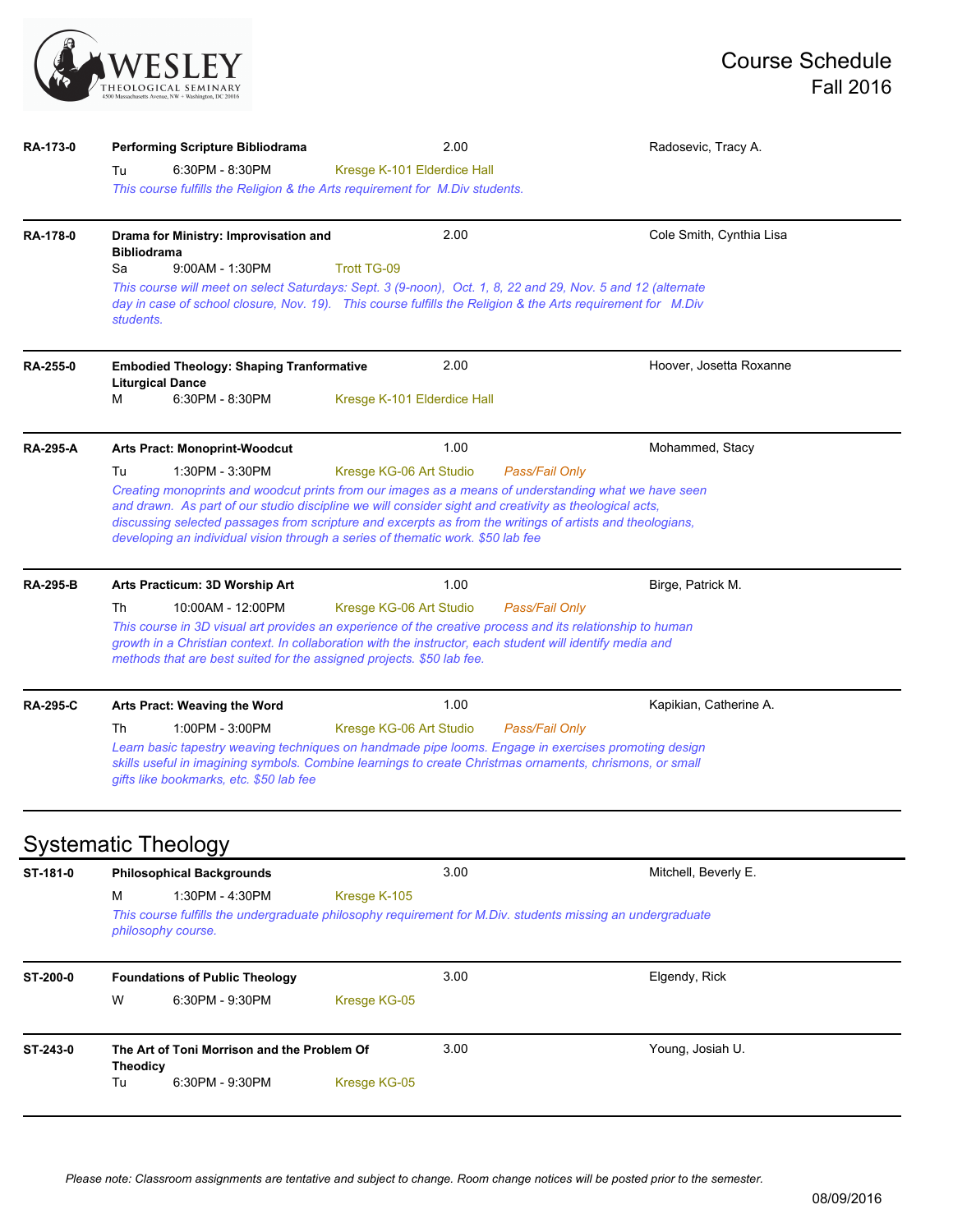

| RA-173-0        | Performing Scripture Bibliodrama                                                                                                                                                                                                                                                                                                                                                                                                                                                     | 2.00                        |  | Radosevic, Tracy A.      |  |  |  |
|-----------------|--------------------------------------------------------------------------------------------------------------------------------------------------------------------------------------------------------------------------------------------------------------------------------------------------------------------------------------------------------------------------------------------------------------------------------------------------------------------------------------|-----------------------------|--|--------------------------|--|--|--|
|                 | 6:30PM - 8:30PM<br>Tu<br>This course fulfills the Religion & the Arts requirement for M.Div students.                                                                                                                                                                                                                                                                                                                                                                                | Kresge K-101 Elderdice Hall |  |                          |  |  |  |
| RA-178-0        | Drama for Ministry: Improvisation and<br><b>Bibliodrama</b><br>$9:00AM - 1:30PM$<br>Sa<br>This course will meet on select Saturdays: Sept. 3 (9-noon), Oct. 1, 8, 22 and 29, Nov. 5 and 12 (alternate                                                                                                                                                                                                                                                                                | 2.00<br><b>Trott TG-09</b>  |  | Cole Smith, Cynthia Lisa |  |  |  |
|                 | day in case of school closure, Nov. 19). This course fulfills the Religion & the Arts requirement for M.Div<br>students.                                                                                                                                                                                                                                                                                                                                                             |                             |  |                          |  |  |  |
| <b>RA-255-0</b> | <b>Embodied Theology: Shaping Tranformative</b><br><b>Liturgical Dance</b>                                                                                                                                                                                                                                                                                                                                                                                                           | 2.00                        |  | Hoover, Josetta Roxanne  |  |  |  |
|                 | М<br>6:30PM - 8:30PM                                                                                                                                                                                                                                                                                                                                                                                                                                                                 | Kresge K-101 Elderdice Hall |  |                          |  |  |  |
| <b>RA-295-A</b> | <b>Arts Pract: Monoprint-Woodcut</b>                                                                                                                                                                                                                                                                                                                                                                                                                                                 | 1.00                        |  | Mohammed, Stacy          |  |  |  |
|                 | 1:30PM - 3:30PM<br>Tu<br>Kresge KG-06 Art Studio<br>Pass/Fail Only<br>Creating monoprints and woodcut prints from our images as a means of understanding what we have seen<br>and drawn. As part of our studio discipline we will consider sight and creativity as theological acts,<br>discussing selected passages from scripture and excerpts as from the writings of artists and theologians,<br>developing an individual vision through a series of thematic work. \$50 lab fee |                             |  |                          |  |  |  |
| <b>RA-295-B</b> | Arts Practicum: 3D Worship Art                                                                                                                                                                                                                                                                                                                                                                                                                                                       | 1.00                        |  | Birge, Patrick M.        |  |  |  |
|                 | Th<br>Pass/Fail Only<br>10:00AM - 12:00PM<br>Kresge KG-06 Art Studio<br>This course in 3D visual art provides an experience of the creative process and its relationship to human<br>growth in a Christian context. In collaboration with the instructor, each student will identify media and<br>methods that are best suited for the assigned projects. \$50 lab fee.                                                                                                              |                             |  |                          |  |  |  |
| <b>RA-295-C</b> | Arts Pract: Weaving the Word                                                                                                                                                                                                                                                                                                                                                                                                                                                         | 1.00                        |  | Kapikian, Catherine A.   |  |  |  |
|                 | 1:00PM - 3:00PM<br>Kresge KG-06 Art Studio<br>Pass/Fail Only<br>Th<br>Learn basic tapestry weaving techniques on handmade pipe looms. Engage in exercises promoting design<br>skills useful in imagining symbols. Combine learnings to create Christmas ornaments, chrismons, or small<br>gifts like bookmarks, etc. \$50 lab fee                                                                                                                                                    |                             |  |                          |  |  |  |
|                 | <b>Systematic Theology</b>                                                                                                                                                                                                                                                                                                                                                                                                                                                           |                             |  |                          |  |  |  |
| ST-181-0        | <b>Philosophical Backgrounds</b>                                                                                                                                                                                                                                                                                                                                                                                                                                                     | 3.00                        |  | Mitchell, Beverly E.     |  |  |  |
|                 | 1:30PM - 4:30PM<br>Kresge K-105<br>М<br>This course fulfills the undergraduate philosophy requirement for M.Div. students missing an undergraduate<br>philosophy course.                                                                                                                                                                                                                                                                                                             |                             |  |                          |  |  |  |
| ST-200-0        | <b>Foundations of Public Theology</b>                                                                                                                                                                                                                                                                                                                                                                                                                                                | 3.00                        |  | Elgendy, Rick            |  |  |  |
|                 | W<br>6:30PM - 9:30PM                                                                                                                                                                                                                                                                                                                                                                                                                                                                 | Kresge KG-05                |  |                          |  |  |  |
| ST-243-0        | The Art of Toni Morrison and the Problem Of                                                                                                                                                                                                                                                                                                                                                                                                                                          | 3.00                        |  | Young, Josiah U.         |  |  |  |
|                 | <b>Theodicy</b><br>6:30PM - 9:30PM<br>Tu                                                                                                                                                                                                                                                                                                                                                                                                                                             | Kresge KG-05                |  |                          |  |  |  |